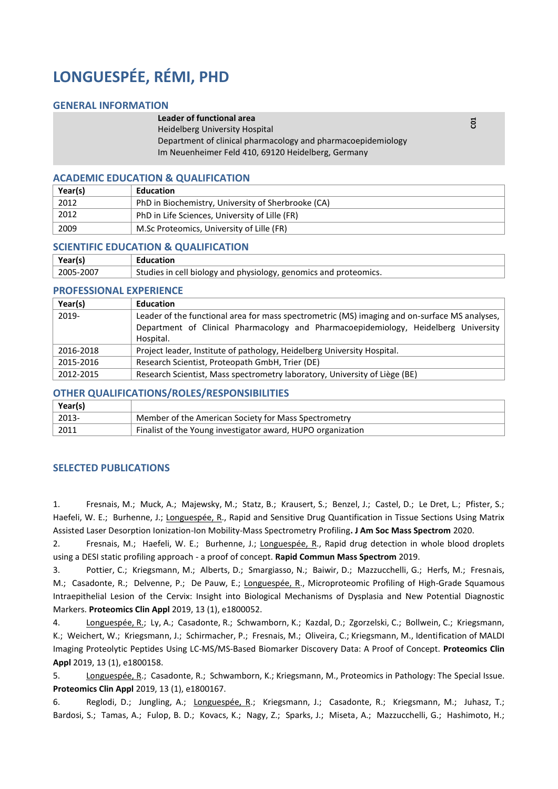# **LONGUESPÉE, RÉMI, PHD**

#### **GENERAL INFORMATION**

#### **Leader of functional area**

Heidelberg University Hospital

Department of clinical pharmacology and pharmacoepidemiology Im Neuenheimer Feld 410, 69120 Heidelberg, Germany

#### **ACADEMIC EDUCATION & QUALIFICATION**

| Year(s) | Education                                          |
|---------|----------------------------------------------------|
| 2012    | PhD in Biochemistry, University of Sherbrooke (CA) |
| 2012    | PhD in Life Sciences, University of Lille (FR)     |
| 2009    | M.Sc Proteomics, University of Lille (FR)          |

#### **SCIENTIFIC EDUCATION & QUALIFICATION**

| Year(s)   | Education                                                        |
|-----------|------------------------------------------------------------------|
| 2005-2007 | Studies in cell biology and physiology, genomics and proteomics. |

#### **PROFESSIONAL EXPERIENCE**

| Year(s)   | <b>Education</b>                                                                              |
|-----------|-----------------------------------------------------------------------------------------------|
| 2019-     | Leader of the functional area for mass spectrometric (MS) imaging and on-surface MS analyses, |
|           | Department of Clinical Pharmacology and Pharmacoepidemiology, Heidelberg University           |
|           | Hospital.                                                                                     |
| 2016-2018 | Project leader, Institute of pathology, Heidelberg University Hospital.                       |
| 2015-2016 | Research Scientist, Proteopath GmbH, Trier (DE)                                               |
| 2012-2015 | Research Scientist, Mass spectrometry laboratory, University of Liège (BE)                    |

## **OTHER QUALIFICATIONS/ROLES/RESPONSIBILITIES**

| Year(s)          |                                                             |
|------------------|-------------------------------------------------------------|
| $^{\circ}$ 2013- | Member of the American Society for Mass Spectrometry        |
| 2011             | Finalist of the Young investigator award, HUPO organization |

### **SELECTED PUBLICATIONS**

1. Fresnais, M.; Muck, A.; Majewsky, M.; Statz, B.; Krausert, S.; Benzel, J.; Castel, D.; Le Dret, L.; Pfister, S.; Haefeli, W. E.; Burhenne, J.; Longuespée, R., Rapid and Sensitive Drug Quantification in Tissue Sections Using Matrix Assisted Laser Desorption Ionization-Ion Mobility-Mass Spectrometry Profiling**. J Am Soc Mass Spectrom** 2020.

2. Fresnais, M.; Haefeli, W. E.; Burhenne, J.; Longuespée, R., Rapid drug detection in whole blood droplets using a DESI static profiling approach - a proof of concept. **Rapid Commun Mass Spectrom** 2019.

3. Pottier, C.; Kriegsmann, M.; Alberts, D.; Smargiasso, N.; Baiwir, D.; Mazzucchelli, G.; Herfs, M.; Fresnais, M.; Casadonte, R.; Delvenne, P.; De Pauw, E.; Longuespée, R., Microproteomic Profiling of High-Grade Squamous Intraepithelial Lesion of the Cervix: Insight into Biological Mechanisms of Dysplasia and New Potential Diagnostic Markers. **Proteomics Clin Appl** 2019, 13 (1), e1800052.

4. Longuespée, R.; Ly, A.; Casadonte, R.; Schwamborn, K.; Kazdal, D.; Zgorzelski, C.; Bollwein, C.; Kriegsmann, K.; Weichert, W.; Kriegsmann, J.; Schirmacher, P.; Fresnais, M.; Oliveira, C.; Kriegsmann, M., Identification of MALDI Imaging Proteolytic Peptides Using LC-MS/MS-Based Biomarker Discovery Data: A Proof of Concept. **Proteomics Clin Appl** 2019, 13 (1), e1800158.

5. Longuespée, R.; Casadonte, R.; Schwamborn, K.; Kriegsmann, M., Proteomics in Pathology: The Special Issue. **Proteomics Clin Appl** 2019, 13 (1), e1800167.

6. Reglodi, D.; Jungling, A.; Longuespée, R.; Kriegsmann, J.; Casadonte, R.; Kriegsmann, M.; Juhasz, T.; Bardosi, S.; Tamas, A.; Fulop, B. D.; Kovacs, K.; Nagy, Z.; Sparks, J.; Miseta, A.; Mazzucchelli, G.; Hashimoto, H.;

**C01**